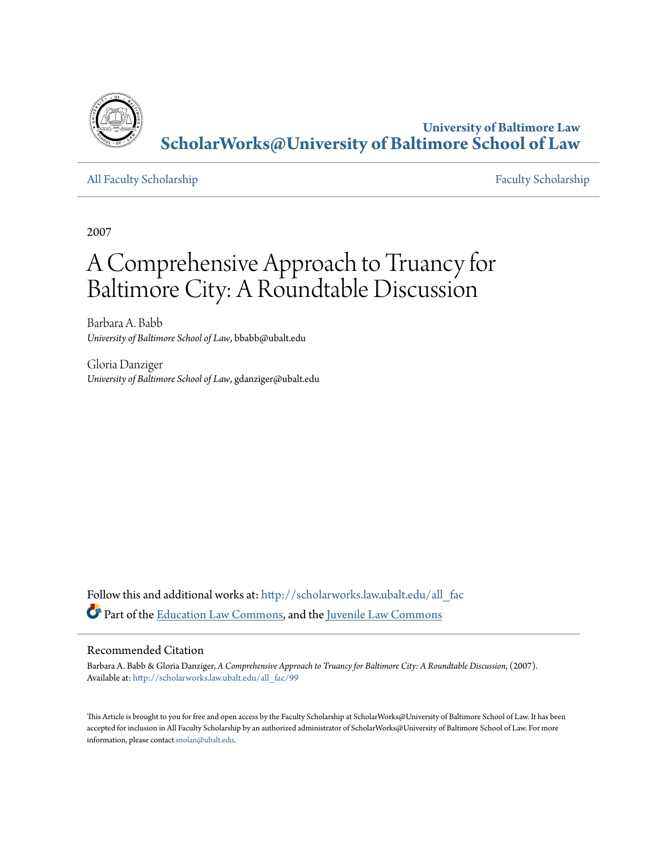

**University of Baltimore Law [ScholarWorks@University of Baltimore School of Law](http://scholarworks.law.ubalt.edu?utm_source=scholarworks.law.ubalt.edu%2Fall_fac%2F99&utm_medium=PDF&utm_campaign=PDFCoverPages)**

[All Faculty Scholarship](http://scholarworks.law.ubalt.edu/all_fac?utm_source=scholarworks.law.ubalt.edu%2Fall_fac%2F99&utm_medium=PDF&utm_campaign=PDFCoverPages) [Faculty Scholarship](http://scholarworks.law.ubalt.edu/faculty?utm_source=scholarworks.law.ubalt.edu%2Fall_fac%2F99&utm_medium=PDF&utm_campaign=PDFCoverPages)

2007

# A Comprehensive Approach to Truancy for Baltimore City: A Roundtable Discussion

Barbara A. Babb *University of Baltimore School of Law*, bbabb@ubalt.edu

Gloria Danziger *University of Baltimore School of Law*, gdanziger@ubalt.edu

Follow this and additional works at: [http://scholarworks.law.ubalt.edu/all\\_fac](http://scholarworks.law.ubalt.edu/all_fac?utm_source=scholarworks.law.ubalt.edu%2Fall_fac%2F99&utm_medium=PDF&utm_campaign=PDFCoverPages) Part of the [Education Law Commons](http://network.bepress.com/hgg/discipline/596?utm_source=scholarworks.law.ubalt.edu%2Fall_fac%2F99&utm_medium=PDF&utm_campaign=PDFCoverPages), and the [Juvenile Law Commons](http://network.bepress.com/hgg/discipline/851?utm_source=scholarworks.law.ubalt.edu%2Fall_fac%2F99&utm_medium=PDF&utm_campaign=PDFCoverPages)

#### Recommended Citation

Barbara A. Babb & Gloria Danziger, *A Comprehensive Approach to Truancy for Baltimore City: A Roundtable Discussion*, (2007). Available at: [http://scholarworks.law.ubalt.edu/all\\_fac/99](http://scholarworks.law.ubalt.edu/all_fac/99?utm_source=scholarworks.law.ubalt.edu%2Fall_fac%2F99&utm_medium=PDF&utm_campaign=PDFCoverPages)

This Article is brought to you for free and open access by the Faculty Scholarship at ScholarWorks@University of Baltimore School of Law. It has been accepted for inclusion in All Faculty Scholarship by an authorized administrator of ScholarWorks@University of Baltimore School of Law. For more information, please contact [snolan@ubalt.edu.](mailto:snolan@ubalt.edu)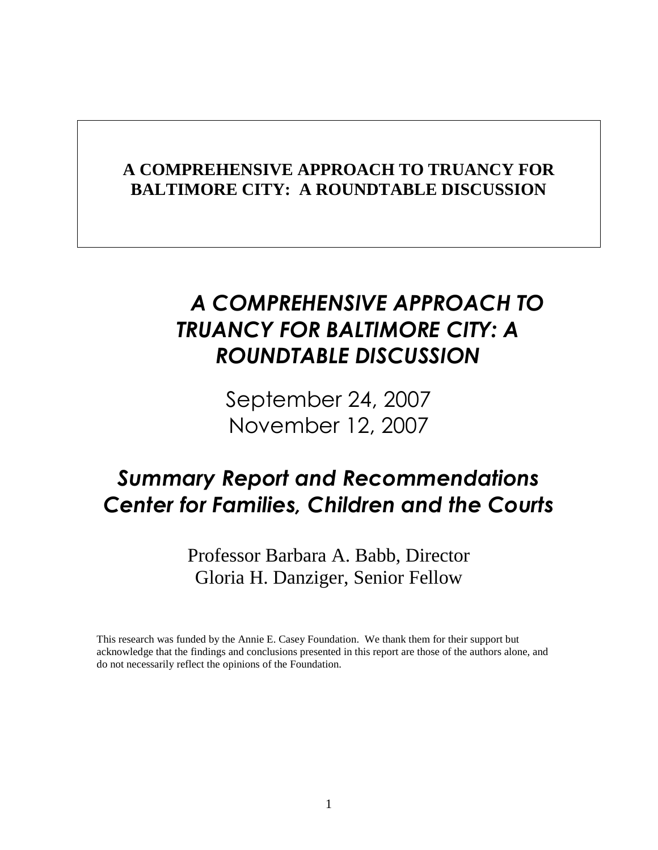# **A COMPREHENSIVE APPROACH TO TRUANCY FOR BALTIMORE CITY: A ROUNDTABLE DISCUSSION**

# *A COMPREHENSIVE APPROACH TO TRUANCY FOR BALTIMORE CITY: A ROUNDTABLE DISCUSSION*

September 24, 2007 November 12, 2007

# *Summary Report and Recommendations Center for Families, Children and the Courts*

Professor Barbara A. Babb, Director Gloria H. Danziger, Senior Fellow

This research was funded by the Annie E. Casey Foundation. We thank them for their support but acknowledge that the findings and conclusions presented in this report are those of the authors alone, and do not necessarily reflect the opinions of the Foundation.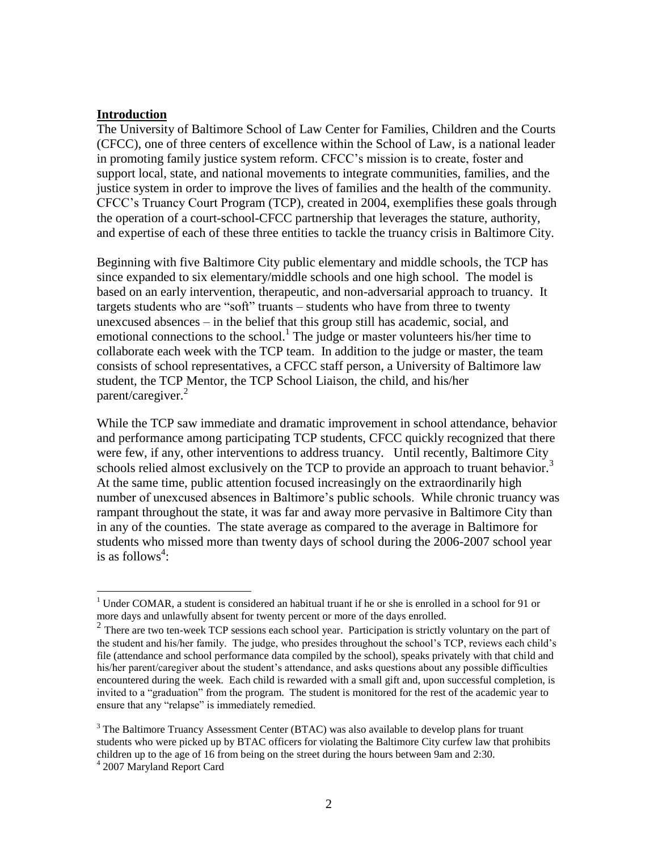#### **Introduction**

 $\overline{a}$ 

The University of Baltimore School of Law Center for Families, Children and the Courts (CFCC), one of three centers of excellence within the School of Law, is a national leader in promoting family justice system reform. CFCC's mission is to create, foster and support local, state, and national movements to integrate communities, families, and the justice system in order to improve the lives of families and the health of the community. CFCC's Truancy Court Program (TCP), created in 2004, exemplifies these goals through the operation of a court-school-CFCC partnership that leverages the stature, authority, and expertise of each of these three entities to tackle the truancy crisis in Baltimore City.

Beginning with five Baltimore City public elementary and middle schools, the TCP has since expanded to six elementary/middle schools and one high school. The model is based on an early intervention, therapeutic, and non-adversarial approach to truancy. It targets students who are "soft" truants – students who have from three to twenty unexcused absences – in the belief that this group still has academic, social, and emotional connections to the school.<sup>1</sup> The judge or master volunteers his/her time to collaborate each week with the TCP team. In addition to the judge or master, the team consists of school representatives, a CFCC staff person, a University of Baltimore law student, the TCP Mentor, the TCP School Liaison, the child, and his/her parent/caregiver. $^{2}$ 

While the TCP saw immediate and dramatic improvement in school attendance, behavior and performance among participating TCP students, CFCC quickly recognized that there were few, if any, other interventions to address truancy. Until recently, Baltimore City schools relied almost exclusively on the TCP to provide an approach to truant behavior.<sup>3</sup> At the same time, public attention focused increasingly on the extraordinarily high number of unexcused absences in Baltimore's public schools.While chronic truancy was rampant throughout the state, it was far and away more pervasive in Baltimore City than in any of the counties. The state average as compared to the average in Baltimore for students who missed more than twenty days of school during the 2006-2007 school year is as follows<sup>4</sup>:

<sup>&</sup>lt;sup>1</sup> Under COMAR, a student is considered an habitual truant if he or she is enrolled in a school for 91 or more days and unlawfully absent for twenty percent or more of the days enrolled.

<sup>&</sup>lt;sup>2</sup> There are two ten-week TCP sessions each school year. Participation is strictly voluntary on the part of the student and his/her family. The judge, who presides throughout the school's TCP, reviews each child's file (attendance and school performance data compiled by the school), speaks privately with that child and his/her parent/caregiver about the student's attendance, and asks questions about any possible difficulties encountered during the week. Each child is rewarded with a small gift and, upon successful completion, is invited to a "graduation" from the program. The student is monitored for the rest of the academic year to ensure that any "relapse" is immediately remedied.

<sup>&</sup>lt;sup>3</sup> The Baltimore Truancy Assessment Center (BTAC) was also available to develop plans for truant students who were picked up by BTAC officers for violating the Baltimore City curfew law that prohibits children up to the age of 16 from being on the street during the hours between 9am and 2:30. 4 2007 Maryland Report Card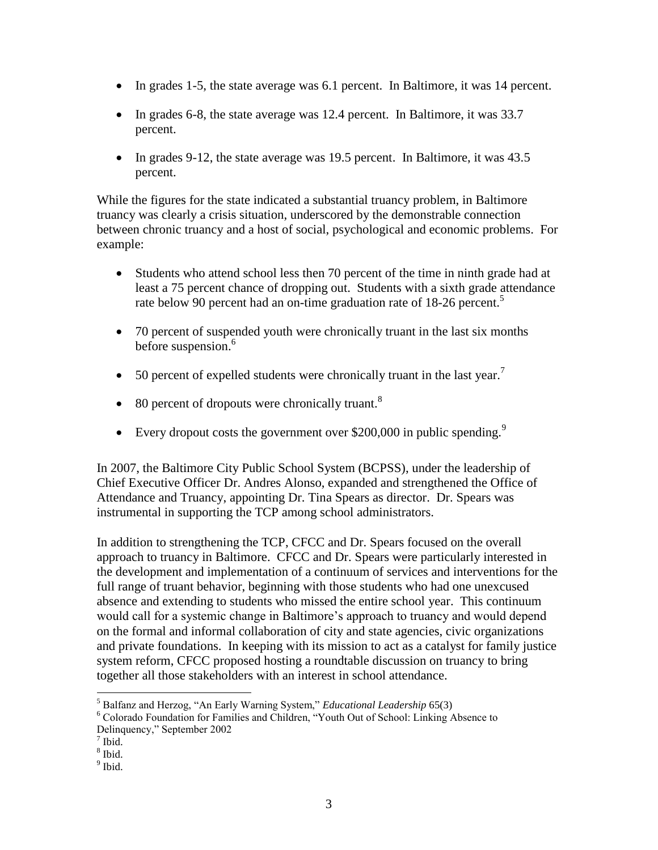- In grades 1-5, the state average was 6.1 percent. In Baltimore, it was 14 percent.
- In grades 6-8, the state average was 12.4 percent. In Baltimore, it was 33.7 percent.
- In grades 9-12, the state average was 19.5 percent. In Baltimore, it was 43.5 percent.

While the figures for the state indicated a substantial truancy problem, in Baltimore truancy was clearly a crisis situation, underscored by the demonstrable connection between chronic truancy and a host of social, psychological and economic problems. For example:

- Students who attend school less then 70 percent of the time in ninth grade had at least a 75 percent chance of dropping out. Students with a sixth grade attendance rate below 90 percent had an on-time graduation rate of 18-26 percent.<sup>5</sup>
- 70 percent of suspended youth were chronically truant in the last six months before suspension.<sup>6</sup>
- $\bullet$  50 percent of expelled students were chronically truant in the last year.<sup>7</sup>
- $\bullet$  80 percent of dropouts were chronically truant.<sup>8</sup>
- Every dropout costs the government over \$200,000 in public spending.<sup>9</sup>

In 2007, the Baltimore City Public School System (BCPSS), under the leadership of Chief Executive Officer Dr. Andres Alonso, expanded and strengthened the Office of Attendance and Truancy, appointing Dr. Tina Spears as director. Dr. Spears was instrumental in supporting the TCP among school administrators.

In addition to strengthening the TCP, CFCC and Dr. Spears focused on the overall approach to truancy in Baltimore. CFCC and Dr. Spears were particularly interested in the development and implementation of a continuum of services and interventions for the full range of truant behavior, beginning with those students who had one unexcused absence and extending to students who missed the entire school year. This continuum would call for a systemic change in Baltimore's approach to truancy and would depend on the formal and informal collaboration of city and state agencies, civic organizations and private foundations. In keeping with its mission to act as a catalyst for family justice system reform, CFCC proposed hosting a roundtable discussion on truancy to bring together all those stakeholders with an interest in school attendance.

 $\overline{a}$ 

<sup>5</sup> Balfanz and Herzog, "An Early Warning System," *Educational Leadership* 65(3)

<sup>6</sup> Colorado Foundation for Families and Children, "Youth Out of School: Linking Absence to Delinquency," September 2002

 $<sup>7</sup>$  Ibid.</sup>

<sup>8</sup> Ibid.

<sup>&</sup>lt;sup>9</sup> Ibid.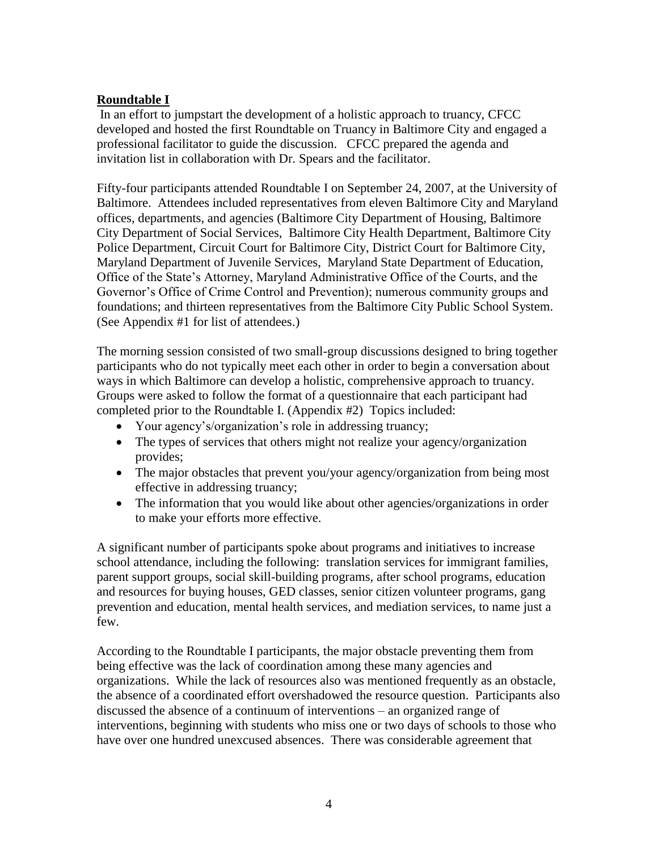### **Roundtable I**

 In an effort to jumpstart the development of a holistic approach to truancy, CFCC developed and hosted the first Roundtable on Truancy in Baltimore City and engaged a professional facilitator to guide the discussion. CFCC prepared the agenda and invitation list in collaboration with Dr. Spears and the facilitator.

Fifty-four participants attended Roundtable I on September 24, 2007, at the University of Baltimore. Attendees included representatives from eleven Baltimore City and Maryland offices, departments, and agencies (Baltimore City Department of Housing, Baltimore City Department of Social Services, Baltimore City Health Department, Baltimore City Police Department, Circuit Court for Baltimore City, District Court for Baltimore City, Maryland Department of Juvenile Services, Maryland State Department of Education, Office of the State's Attorney, Maryland Administrative Office of the Courts, and the Governor's Office of Crime Control and Prevention); numerous community groups and foundations; and thirteen representatives from the Baltimore City Public School System. (See Appendix #1 for list of attendees.)

The morning session consisted of two small-group discussions designed to bring together participants who do not typically meet each other in order to begin a conversation about ways in which Baltimore can develop a holistic, comprehensive approach to truancy. Groups were asked to follow the format of a questionnaire that each participant had completed prior to the Roundtable I. (Appendix #2) Topics included:

- Your agency's/organization's role in addressing truancy;
- The types of services that others might not realize your agency/organization provides;
- The major obstacles that prevent you/your agency/organization from being most effective in addressing truancy;
- The information that you would like about other agencies/organizations in order to make your efforts more effective.

A significant number of participants spoke about programs and initiatives to increase school attendance, including the following: translation services for immigrant families, parent support groups, social skill-building programs, after school programs, education and resources for buying houses, GED classes, senior citizen volunteer programs, gang prevention and education, mental health services, and mediation services, to name just a few.

According to the Roundtable I participants, the major obstacle preventing them from being effective was the lack of coordination among these many agencies and organizations. While the lack of resources also was mentioned frequently as an obstacle, the absence of a coordinated effort overshadowed the resource question. Participants also discussed the absence of a continuum of interventions – an organized range of interventions, beginning with students who miss one or two days of schools to those who have over one hundred unexcused absences. There was considerable agreement that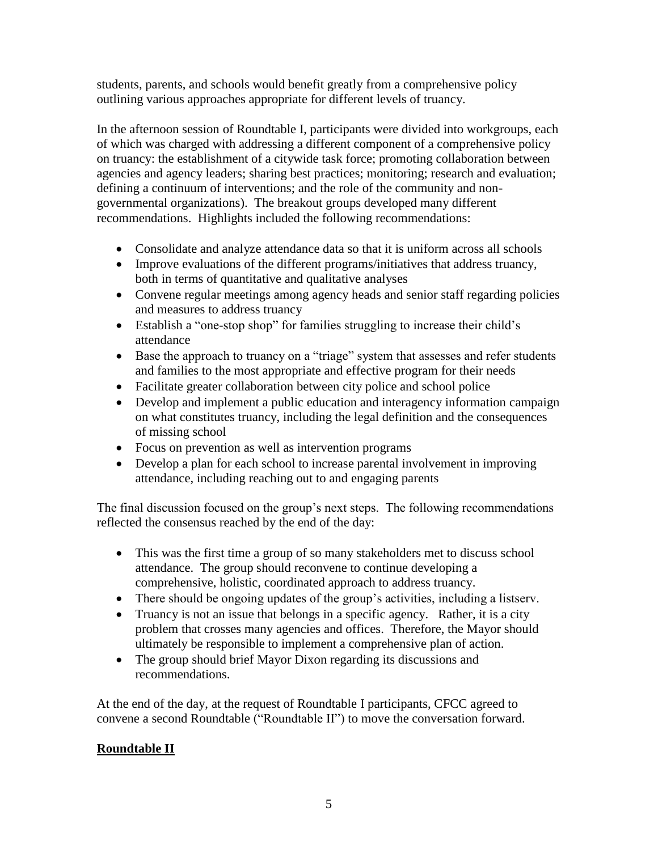students, parents, and schools would benefit greatly from a comprehensive policy outlining various approaches appropriate for different levels of truancy.

In the afternoon session of Roundtable I, participants were divided into workgroups, each of which was charged with addressing a different component of a comprehensive policy on truancy: the establishment of a citywide task force; promoting collaboration between agencies and agency leaders; sharing best practices; monitoring; research and evaluation; defining a continuum of interventions; and the role of the community and nongovernmental organizations). The breakout groups developed many different recommendations. Highlights included the following recommendations:

- Consolidate and analyze attendance data so that it is uniform across all schools
- Improve evaluations of the different programs/initiatives that address truancy, both in terms of quantitative and qualitative analyses
- Convene regular meetings among agency heads and senior staff regarding policies and measures to address truancy
- Establish a "one-stop shop" for families struggling to increase their child's attendance
- Base the approach to truancy on a "triage" system that assesses and refer students and families to the most appropriate and effective program for their needs
- Facilitate greater collaboration between city police and school police
- Develop and implement a public education and interagency information campaign on what constitutes truancy, including the legal definition and the consequences of missing school
- Focus on prevention as well as intervention programs
- Develop a plan for each school to increase parental involvement in improving attendance, including reaching out to and engaging parents

The final discussion focused on the group's next steps. The following recommendations reflected the consensus reached by the end of the day:

- This was the first time a group of so many stakeholders met to discuss school attendance. The group should reconvene to continue developing a comprehensive, holistic, coordinated approach to address truancy.
- There should be ongoing updates of the group's activities, including a listserv.
- Truancy is not an issue that belongs in a specific agency. Rather, it is a city problem that crosses many agencies and offices. Therefore, the Mayor should ultimately be responsible to implement a comprehensive plan of action.
- The group should brief Mayor Dixon regarding its discussions and recommendations.

At the end of the day, at the request of Roundtable I participants, CFCC agreed to convene a second Roundtable ("Roundtable II") to move the conversation forward.

# **Roundtable II**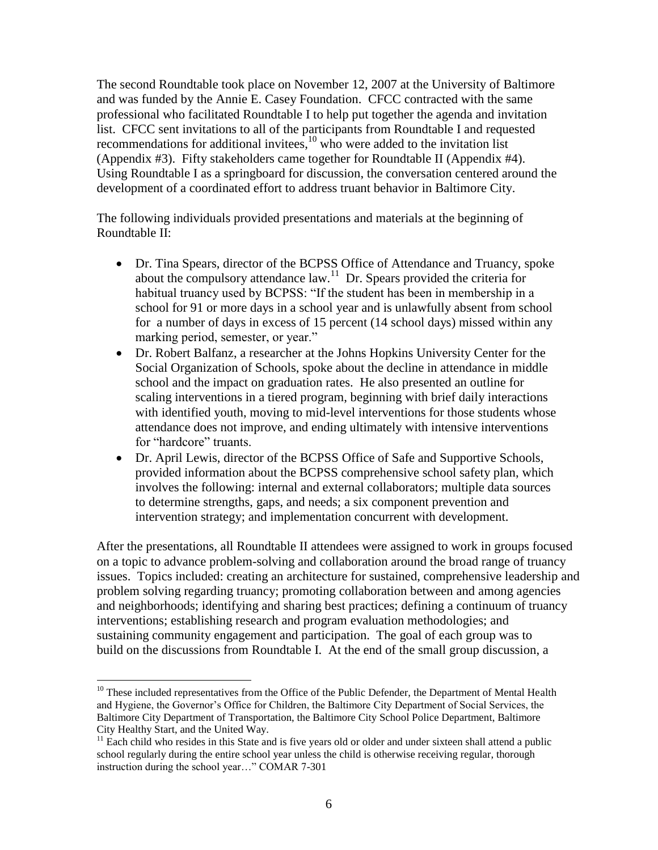The second Roundtable took place on November 12, 2007 at the University of Baltimore and was funded by the Annie E. Casey Foundation. CFCC contracted with the same professional who facilitated Roundtable I to help put together the agenda and invitation list. CFCC sent invitations to all of the participants from Roundtable I and requested recommendations for additional invitees, $^{10}$  who were added to the invitation list (Appendix #3). Fifty stakeholders came together for Roundtable II (Appendix #4). Using Roundtable I as a springboard for discussion, the conversation centered around the development of a coordinated effort to address truant behavior in Baltimore City.

The following individuals provided presentations and materials at the beginning of Roundtable II:

- Dr. Tina Spears, director of the BCPSS Office of Attendance and Truancy, spoke about the compulsory attendance  $law<sup>11</sup>$  Dr. Spears provided the criteria for habitual truancy used by BCPSS: "If the student has been in membership in a school for 91 or more days in a school year and is unlawfully absent from school for a number of days in excess of 15 percent (14 school days) missed within any marking period, semester, or year."
- Dr. Robert Balfanz, a researcher at the Johns Hopkins University Center for the Social Organization of Schools, spoke about the decline in attendance in middle school and the impact on graduation rates. He also presented an outline for scaling interventions in a tiered program, beginning with brief daily interactions with identified youth, moving to mid-level interventions for those students whose attendance does not improve, and ending ultimately with intensive interventions for "hardcore" truants.
- Dr. April Lewis, director of the BCPSS Office of Safe and Supportive Schools, provided information about the BCPSS comprehensive school safety plan, which involves the following: internal and external collaborators; multiple data sources to determine strengths, gaps, and needs; a six component prevention and intervention strategy; and implementation concurrent with development.

After the presentations, all Roundtable II attendees were assigned to work in groups focused on a topic to advance problem-solving and collaboration around the broad range of truancy issues. Topics included: creating an architecture for sustained, comprehensive leadership and problem solving regarding truancy; promoting collaboration between and among agencies and neighborhoods; identifying and sharing best practices; defining a continuum of truancy interventions; establishing research and program evaluation methodologies; and sustaining community engagement and participation. The goal of each group was to build on the discussions from Roundtable I. At the end of the small group discussion, a

 $\overline{a}$ 

 $10$  These included representatives from the Office of the Public Defender, the Department of Mental Health and Hygiene, the Governor's Office for Children, the Baltimore City Department of Social Services, the Baltimore City Department of Transportation, the Baltimore City School Police Department, Baltimore City Healthy Start, and the United Way.

<sup>&</sup>lt;sup>11</sup> Each child who resides in this State and is five years old or older and under sixteen shall attend a public school regularly during the entire school year unless the child is otherwise receiving regular, thorough instruction during the school year…" COMAR 7-301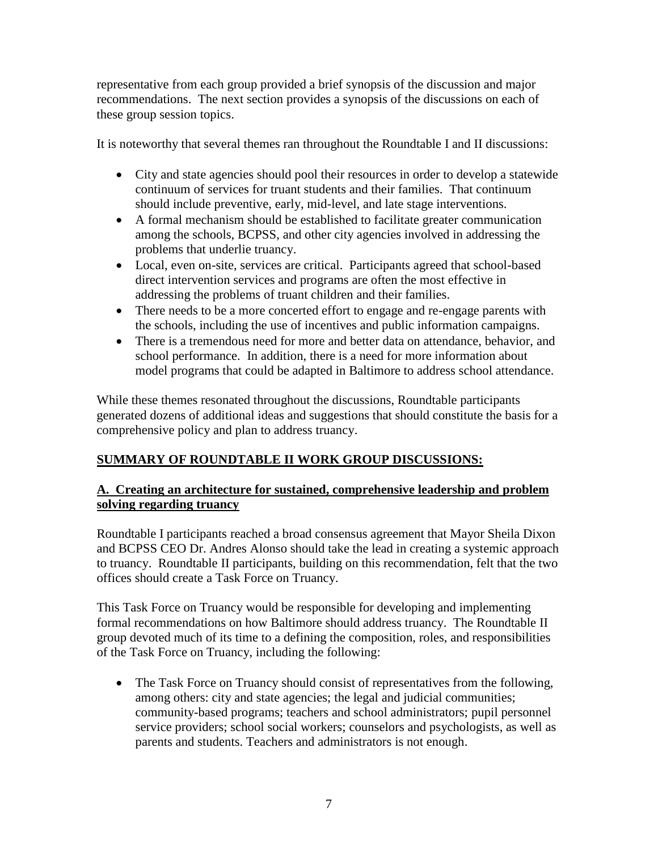representative from each group provided a brief synopsis of the discussion and major recommendations. The next section provides a synopsis of the discussions on each of these group session topics.

It is noteworthy that several themes ran throughout the Roundtable I and II discussions:

- City and state agencies should pool their resources in order to develop a statewide continuum of services for truant students and their families. That continuum should include preventive, early, mid-level, and late stage interventions.
- A formal mechanism should be established to facilitate greater communication among the schools, BCPSS, and other city agencies involved in addressing the problems that underlie truancy.
- Local, even on-site, services are critical. Participants agreed that school-based direct intervention services and programs are often the most effective in addressing the problems of truant children and their families.
- There needs to be a more concerted effort to engage and re-engage parents with the schools, including the use of incentives and public information campaigns.
- There is a tremendous need for more and better data on attendance, behavior, and school performance. In addition, there is a need for more information about model programs that could be adapted in Baltimore to address school attendance.

While these themes resonated throughout the discussions, Roundtable participants generated dozens of additional ideas and suggestions that should constitute the basis for a comprehensive policy and plan to address truancy.

# **SUMMARY OF ROUNDTABLE II WORK GROUP DISCUSSIONS:**

# **A. Creating an architecture for sustained, comprehensive leadership and problem solving regarding truancy**

Roundtable I participants reached a broad consensus agreement that Mayor Sheila Dixon and BCPSS CEO Dr. Andres Alonso should take the lead in creating a systemic approach to truancy. Roundtable II participants, building on this recommendation, felt that the two offices should create a Task Force on Truancy.

This Task Force on Truancy would be responsible for developing and implementing formal recommendations on how Baltimore should address truancy. The Roundtable II group devoted much of its time to a defining the composition, roles, and responsibilities of the Task Force on Truancy, including the following:

• The Task Force on Truancy should consist of representatives from the following, among others: city and state agencies; the legal and judicial communities; community-based programs; teachers and school administrators; pupil personnel service providers; school social workers; counselors and psychologists, as well as parents and students. Teachers and administrators is not enough.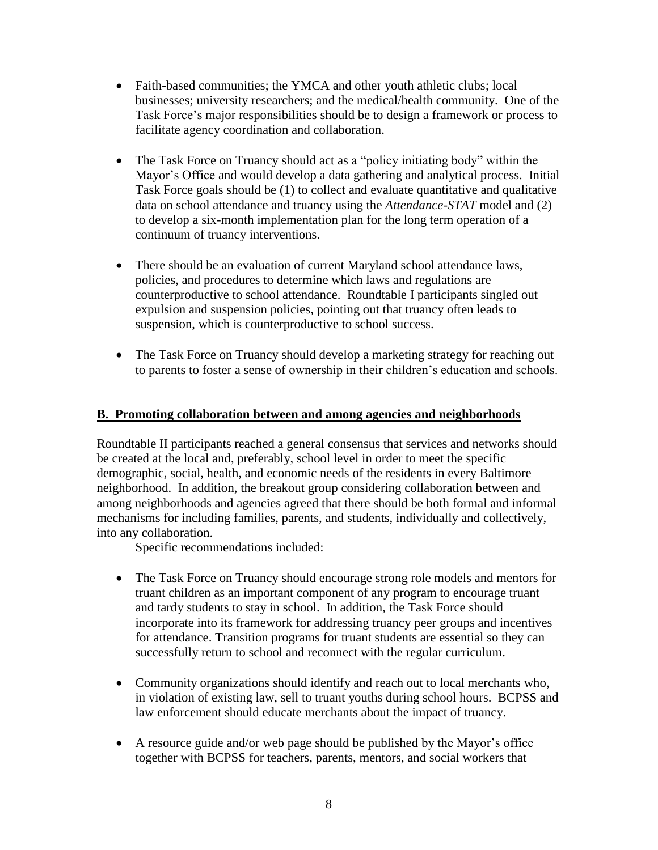- Faith-based communities; the YMCA and other youth athletic clubs; local businesses; university researchers; and the medical/health community. One of the Task Force's major responsibilities should be to design a framework or process to facilitate agency coordination and collaboration.
- The Task Force on Truancy should act as a "policy initiating body" within the Mayor's Office and would develop a data gathering and analytical process. Initial Task Force goals should be (1) to collect and evaluate quantitative and qualitative data on school attendance and truancy using the *Attendance-STAT* model and (2) to develop a six-month implementation plan for the long term operation of a continuum of truancy interventions.
- There should be an evaluation of current Maryland school attendance laws, policies, and procedures to determine which laws and regulations are counterproductive to school attendance. Roundtable I participants singled out expulsion and suspension policies, pointing out that truancy often leads to suspension, which is counterproductive to school success.
- The Task Force on Truancy should develop a marketing strategy for reaching out to parents to foster a sense of ownership in their children's education and schools.

### **B. Promoting collaboration between and among agencies and neighborhoods**

Roundtable II participants reached a general consensus that services and networks should be created at the local and, preferably, school level in order to meet the specific demographic, social, health, and economic needs of the residents in every Baltimore neighborhood. In addition, the breakout group considering collaboration between and among neighborhoods and agencies agreed that there should be both formal and informal mechanisms for including families, parents, and students, individually and collectively, into any collaboration.

Specific recommendations included:

- The Task Force on Truancy should encourage strong role models and mentors for truant children as an important component of any program to encourage truant and tardy students to stay in school. In addition, the Task Force should incorporate into its framework for addressing truancy peer groups and incentives for attendance. Transition programs for truant students are essential so they can successfully return to school and reconnect with the regular curriculum.
- Community organizations should identify and reach out to local merchants who, in violation of existing law, sell to truant youths during school hours. BCPSS and law enforcement should educate merchants about the impact of truancy.
- A resource guide and/or web page should be published by the Mayor's office together with BCPSS for teachers, parents, mentors, and social workers that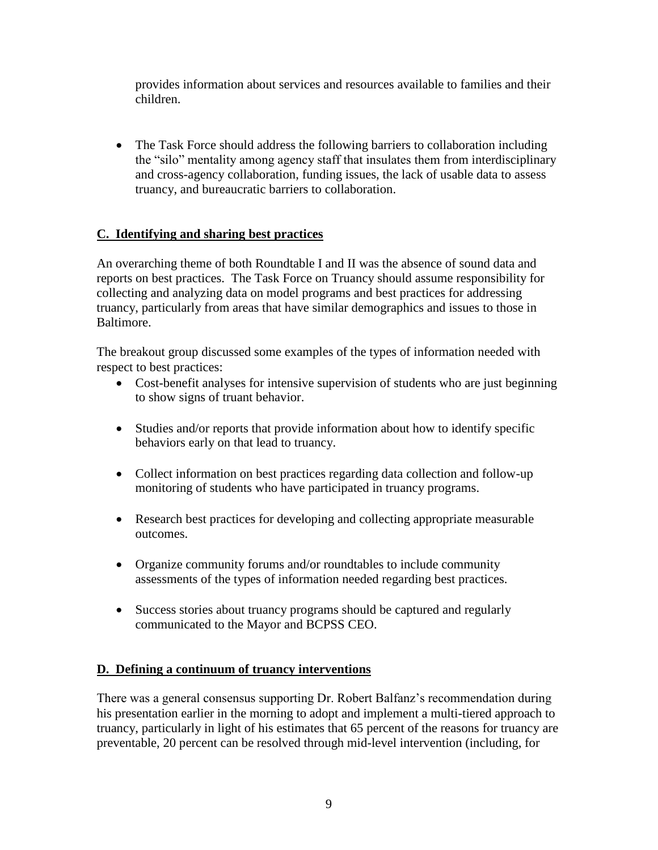provides information about services and resources available to families and their children.

• The Task Force should address the following barriers to collaboration including the "silo" mentality among agency staff that insulates them from interdisciplinary and cross-agency collaboration, funding issues, the lack of usable data to assess truancy, and bureaucratic barriers to collaboration.

# **C. Identifying and sharing best practices**

An overarching theme of both Roundtable I and II was the absence of sound data and reports on best practices. The Task Force on Truancy should assume responsibility for collecting and analyzing data on model programs and best practices for addressing truancy, particularly from areas that have similar demographics and issues to those in Baltimore.

The breakout group discussed some examples of the types of information needed with respect to best practices:

- Cost-benefit analyses for intensive supervision of students who are just beginning to show signs of truant behavior.
- Studies and/or reports that provide information about how to identify specific behaviors early on that lead to truancy.
- Collect information on best practices regarding data collection and follow-up monitoring of students who have participated in truancy programs.
- Research best practices for developing and collecting appropriate measurable outcomes.
- Organize community forums and/or roundtables to include community assessments of the types of information needed regarding best practices.
- Success stories about truancy programs should be captured and regularly communicated to the Mayor and BCPSS CEO.

# **D. Defining a continuum of truancy interventions**

There was a general consensus supporting Dr. Robert Balfanz's recommendation during his presentation earlier in the morning to adopt and implement a multi-tiered approach to truancy, particularly in light of his estimates that 65 percent of the reasons for truancy are preventable, 20 percent can be resolved through mid-level intervention (including, for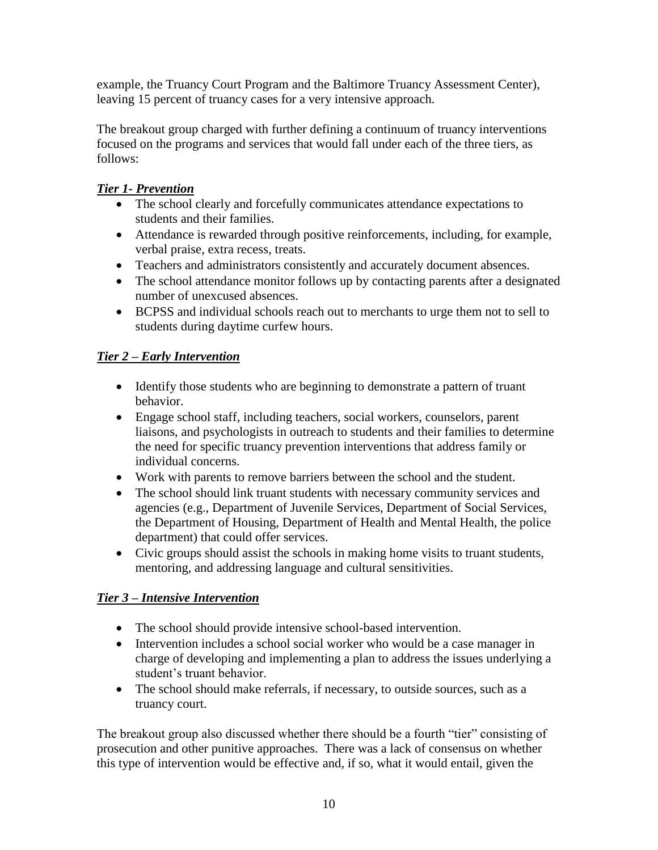example, the Truancy Court Program and the Baltimore Truancy Assessment Center), leaving 15 percent of truancy cases for a very intensive approach.

The breakout group charged with further defining a continuum of truancy interventions focused on the programs and services that would fall under each of the three tiers, as follows:

# *Tier 1- Prevention*

- The school clearly and forcefully communicates attendance expectations to students and their families.
- Attendance is rewarded through positive reinforcements, including, for example, verbal praise, extra recess, treats.
- Teachers and administrators consistently and accurately document absences.
- The school attendance monitor follows up by contacting parents after a designated number of unexcused absences.
- BCPSS and individual schools reach out to merchants to urge them not to sell to students during daytime curfew hours.

# *Tier 2 – Early Intervention*

- Identify those students who are beginning to demonstrate a pattern of truant behavior.
- Engage school staff, including teachers, social workers, counselors, parent liaisons, and psychologists in outreach to students and their families to determine the need for specific truancy prevention interventions that address family or individual concerns.
- Work with parents to remove barriers between the school and the student.
- The school should link truant students with necessary community services and agencies (e.g., Department of Juvenile Services, Department of Social Services, the Department of Housing, Department of Health and Mental Health, the police department) that could offer services.
- Civic groups should assist the schools in making home visits to truant students, mentoring, and addressing language and cultural sensitivities.

# *Tier 3 – Intensive Intervention*

- The school should provide intensive school-based intervention.
- Intervention includes a school social worker who would be a case manager in charge of developing and implementing a plan to address the issues underlying a student's truant behavior.
- The school should make referrals, if necessary, to outside sources, such as a truancy court.

The breakout group also discussed whether there should be a fourth "tier" consisting of prosecution and other punitive approaches. There was a lack of consensus on whether this type of intervention would be effective and, if so, what it would entail, given the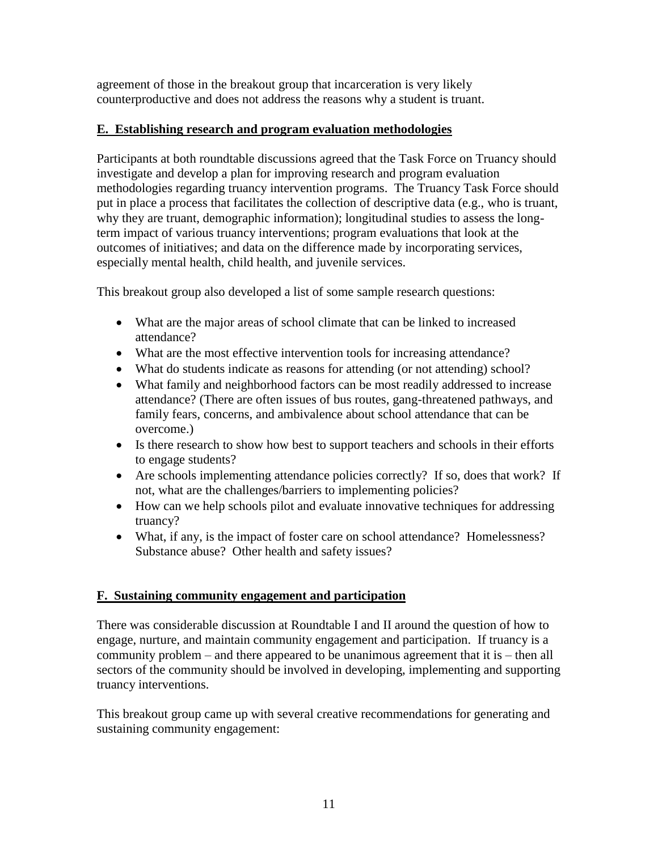agreement of those in the breakout group that incarceration is very likely counterproductive and does not address the reasons why a student is truant.

## **E. Establishing research and program evaluation methodologies**

Participants at both roundtable discussions agreed that the Task Force on Truancy should investigate and develop a plan for improving research and program evaluation methodologies regarding truancy intervention programs. The Truancy Task Force should put in place a process that facilitates the collection of descriptive data (e.g., who is truant, why they are truant, demographic information); longitudinal studies to assess the longterm impact of various truancy interventions; program evaluations that look at the outcomes of initiatives; and data on the difference made by incorporating services, especially mental health, child health, and juvenile services.

This breakout group also developed a list of some sample research questions:

- What are the major areas of school climate that can be linked to increased attendance?
- What are the most effective intervention tools for increasing attendance?
- What do students indicate as reasons for attending (or not attending) school?
- What family and neighborhood factors can be most readily addressed to increase attendance? (There are often issues of bus routes, gang-threatened pathways, and family fears, concerns, and ambivalence about school attendance that can be overcome.)
- Is there research to show how best to support teachers and schools in their efforts to engage students?
- Are schools implementing attendance policies correctly? If so, does that work? If not, what are the challenges/barriers to implementing policies?
- How can we help schools pilot and evaluate innovative techniques for addressing truancy?
- What, if any, is the impact of foster care on school attendance? Homelessness? Substance abuse? Other health and safety issues?

# **F. Sustaining community engagement and participation**

There was considerable discussion at Roundtable I and II around the question of how to engage, nurture, and maintain community engagement and participation. If truancy is a community problem – and there appeared to be unanimous agreement that it is – then all sectors of the community should be involved in developing, implementing and supporting truancy interventions.

This breakout group came up with several creative recommendations for generating and sustaining community engagement: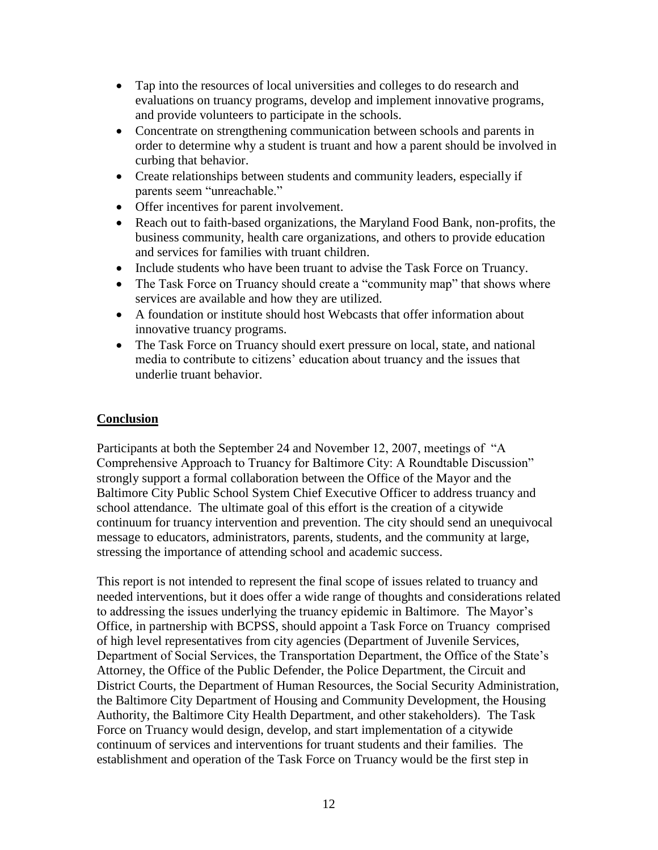- Tap into the resources of local universities and colleges to do research and evaluations on truancy programs, develop and implement innovative programs, and provide volunteers to participate in the schools.
- Concentrate on strengthening communication between schools and parents in order to determine why a student is truant and how a parent should be involved in curbing that behavior.
- Create relationships between students and community leaders, especially if parents seem "unreachable."
- Offer incentives for parent involvement.
- Reach out to faith-based organizations, the Maryland Food Bank, non-profits, the business community, health care organizations, and others to provide education and services for families with truant children.
- Include students who have been truant to advise the Task Force on Truancy.
- The Task Force on Truancy should create a "community map" that shows where services are available and how they are utilized.
- A foundation or institute should host Webcasts that offer information about innovative truancy programs.
- The Task Force on Truancy should exert pressure on local, state, and national media to contribute to citizens' education about truancy and the issues that underlie truant behavior.

## **Conclusion**

Participants at both the September 24 and November 12, 2007, meetings of "A Comprehensive Approach to Truancy for Baltimore City: A Roundtable Discussion" strongly support a formal collaboration between the Office of the Mayor and the Baltimore City Public School System Chief Executive Officer to address truancy and school attendance. The ultimate goal of this effort is the creation of a citywide continuum for truancy intervention and prevention. The city should send an unequivocal message to educators, administrators, parents, students, and the community at large, stressing the importance of attending school and academic success.

This report is not intended to represent the final scope of issues related to truancy and needed interventions, but it does offer a wide range of thoughts and considerations related to addressing the issues underlying the truancy epidemic in Baltimore. The Mayor's Office, in partnership with BCPSS, should appoint a Task Force on Truancy comprised of high level representatives from city agencies (Department of Juvenile Services, Department of Social Services, the Transportation Department, the Office of the State's Attorney, the Office of the Public Defender, the Police Department, the Circuit and District Courts, the Department of Human Resources, the Social Security Administration, the Baltimore City Department of Housing and Community Development, the Housing Authority, the Baltimore City Health Department, and other stakeholders). The Task Force on Truancy would design, develop, and start implementation of a citywide continuum of services and interventions for truant students and their families. The establishment and operation of the Task Force on Truancy would be the first step in